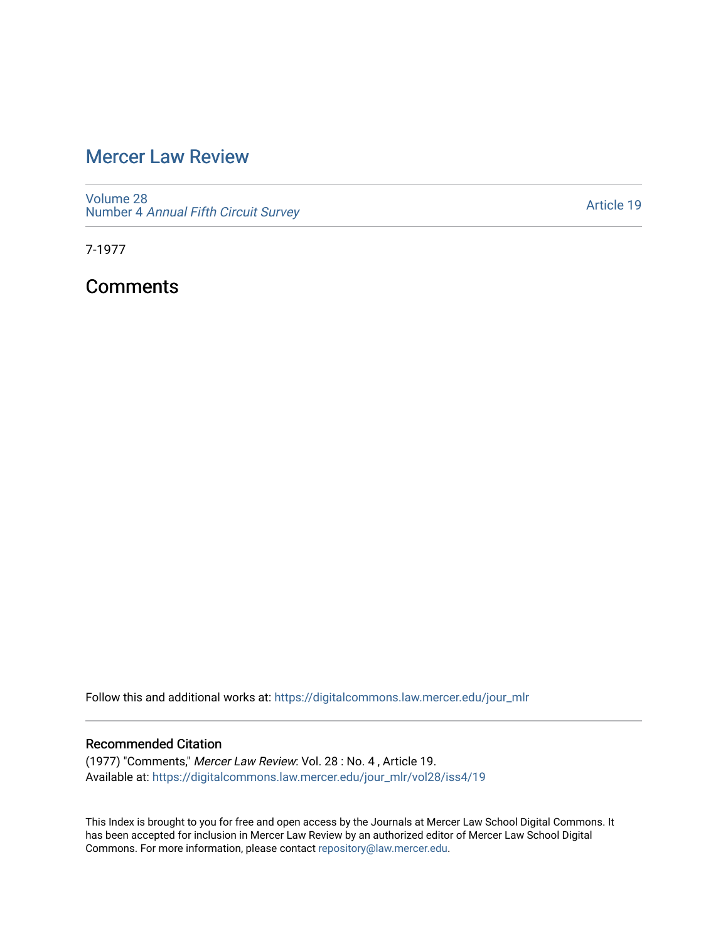## [Mercer Law Review](https://digitalcommons.law.mercer.edu/jour_mlr)

[Volume 28](https://digitalcommons.law.mercer.edu/jour_mlr/vol28) Number 4 [Annual Fifth Circuit Survey](https://digitalcommons.law.mercer.edu/jour_mlr/vol28/iss4)

[Article 19](https://digitalcommons.law.mercer.edu/jour_mlr/vol28/iss4/19) 

7-1977

**Comments** 

Follow this and additional works at: [https://digitalcommons.law.mercer.edu/jour\\_mlr](https://digitalcommons.law.mercer.edu/jour_mlr?utm_source=digitalcommons.law.mercer.edu%2Fjour_mlr%2Fvol28%2Fiss4%2F19&utm_medium=PDF&utm_campaign=PDFCoverPages)

## Recommended Citation

(1977) "Comments," Mercer Law Review: Vol. 28 : No. 4 , Article 19. Available at: [https://digitalcommons.law.mercer.edu/jour\\_mlr/vol28/iss4/19](https://digitalcommons.law.mercer.edu/jour_mlr/vol28/iss4/19?utm_source=digitalcommons.law.mercer.edu%2Fjour_mlr%2Fvol28%2Fiss4%2F19&utm_medium=PDF&utm_campaign=PDFCoverPages) 

This Index is brought to you for free and open access by the Journals at Mercer Law School Digital Commons. It has been accepted for inclusion in Mercer Law Review by an authorized editor of Mercer Law School Digital Commons. For more information, please contact [repository@law.mercer.edu.](mailto:repository@law.mercer.edu)